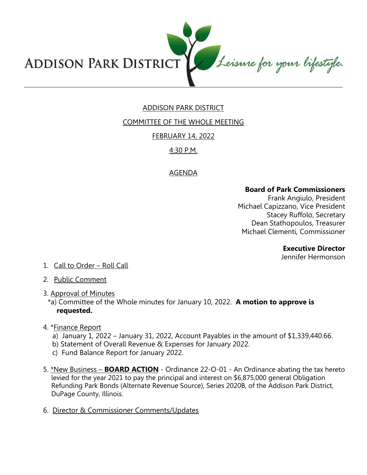

# ADDISON PARK DISTRICT

COMMITTEE OF THE WHOLE MEETING

### FEBRUARY 14, 2022

## 4:30 P.M.

## AGENDA

### **Board of Park Commissioners**

Frank Angiulo, President Michael Capizzano, Vice President Stacey Ruffolo, Secretary Dean Stathopoulos, Treasurer Michael Clementi, Commissioner

### **Executive Director**

Jennifer Hermonson

- 1. Call to Order Roll Call
- 2. Public Comment
- 3. Approval of Minutes
	- \*a) Committee of the Whole minutes for January 10, 2022. **A motion to approve is requested.**
- 4. \*Finance Report
	- a) January 1, 2022 January 31, 2022, Account Payables in the amount of \$1,339,440.66.
	- b) Statement of Overall Revenue & Expenses for January 2022.
	- c) Fund Balance Report for January 2022.
- 5. \*New Business **BOARD ACTION** Ordinance 22-O-01 An Ordinance abating the tax hereto levied for the year 2021 to pay the principal and interest on \$6,875,000 general Obligation Refunding Park Bonds (Alternate Revenue Source), Series 2020B, of the Addison Park District, DuPage County, Illinois.
- 6. Director & Commissioner Comments/Updates